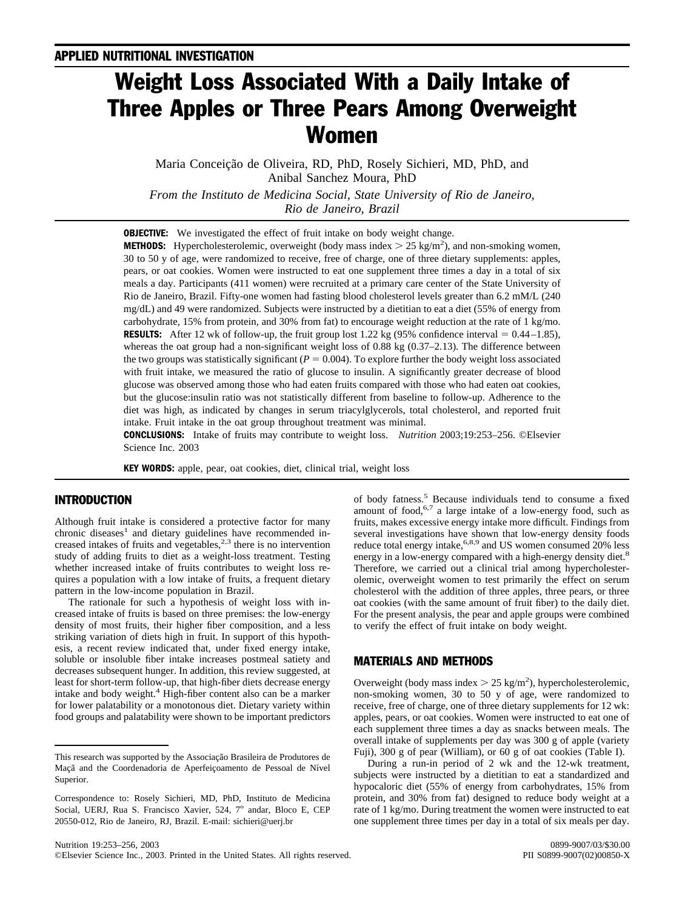# Weight Loss Associated With a Daily Intake of Three Apples or Three Pears Among Overweight Women

Maria Conceição de Oliveira, RD, PhD, Rosely Sichieri, MD, PhD, and Anibal Sanchez Moura, PhD

*From the Instituto de Medicina Social, State University of Rio de Janeiro, Rio de Janeiro, Brazil*

**OBJECTIVE:** We investigated the effect of fruit intake on body weight change.

**METHODS:** Hypercholesterolemic, overweight (body mass index  $> 25$  kg/m<sup>2</sup>), and non-smoking women, 30 to 50 y of age, were randomized to receive, free of charge, one of three dietary supplements: apples, pears, or oat cookies. Women were instructed to eat one supplement three times a day in a total of six meals a day. Participants (411 women) were recruited at a primary care center of the State University of Rio de Janeiro, Brazil. Fifty-one women had fasting blood cholesterol levels greater than 6.2 mM/L (240 mg/dL) and 49 were randomized. Subjects were instructed by a dietitian to eat a diet (55% of energy from carbohydrate, 15% from protein, and 30% from fat) to encourage weight reduction at the rate of 1 kg/mo. **RESULTS:** After 12 wk of follow-up, the fruit group lost 1.22 kg (95% confidence interval  $= 0.44-1.85$ ), whereas the oat group had a non-significant weight loss of 0.88 kg (0.37–2.13). The difference between the two groups was statistically significant ( $P = 0.004$ ). To explore further the body weight loss associated with fruit intake, we measured the ratio of glucose to insulin. A significantly greater decrease of blood glucose was observed among those who had eaten fruits compared with those who had eaten oat cookies, but the glucose:insulin ratio was not statistically different from baseline to follow-up. Adherence to the diet was high, as indicated by changes in serum triacylglycerols, total cholesterol, and reported fruit intake. Fruit intake in the oat group throughout treatment was minimal.

**CONCLUSIONS:** Intake of fruits may contribute to weight loss. *Nutrition* 2003;19:253–256. ©Elsevier Science Inc. 2003

**KEY WORDS:** apple, pear, oat cookies, diet, clinical trial, weight loss

## INTRODUCTION

Although fruit intake is considered a protective factor for many  $chronic$  diseases<sup>1</sup> and dietary guidelines have recommended increased intakes of fruits and vegetables, $2,3$  there is no intervention study of adding fruits to diet as a weight-loss treatment. Testing whether increased intake of fruits contributes to weight loss requires a population with a low intake of fruits, a frequent dietary pattern in the low-income population in Brazil.

The rationale for such a hypothesis of weight loss with increased intake of fruits is based on three premises: the low-energy density of most fruits, their higher fiber composition, and a less striking variation of diets high in fruit. In support of this hypothesis, a recent review indicated that, under fixed energy intake, soluble or insoluble fiber intake increases postmeal satiety and decreases subsequent hunger. In addition, this review suggested, at least for short-term follow-up, that high-fiber diets decrease energy intake and body weight. $4$  High-fiber content also can be a marker for lower palatability or a monotonous diet. Dietary variety within food groups and palatability were shown to be important predictors

of body fatness[.5](#page-3-0) Because individuals tend to consume a fixed amount of food, $6.7$  a large intake of a low-energy food, such as fruits, makes excessive energy intake more difficult. Findings from several investigations have shown that low-energy density foods reduce total energy intake,<sup>6,8,9</sup> and US women consumed 20% less energy in a low-energy compared with a high-energy density diet.<sup>[8](#page-3-0)</sup> Therefore, we carried out a clinical trial among hypercholesterolemic, overweight women to test primarily the effect on serum cholesterol with the addition of three apples, three pears, or three oat cookies (with the same amount of fruit fiber) to the daily diet. For the present analysis, the pear and apple groups were combined to verify the effect of fruit intake on body weight.

## MATERIALS AND METHODS

Overweight (body mass index  $> 25$  kg/m<sup>2</sup>), hypercholesterolemic, non-smoking women, 30 to 50 y of age, were randomized to receive, free of charge, one of three dietary supplements for 12 wk: apples, pears, or oat cookies. Women were instructed to eat one of each supplement three times a day as snacks between meals. The overall intake of supplements per day was 300 g of apple (variety Fuji), 300 g of pear (William), or 60 g of oat cookies ([Table I](#page-1-0)).

During a run-in period of 2 wk and the 12-wk treatment, subjects were instructed by a dietitian to eat a standardized and hypocaloric diet (55% of energy from carbohydrates, 15% from protein, and 30% from fat) designed to reduce body weight at a rate of 1 kg/mo. During treatment the women were instructed to eat one supplement three times per day in a total of six meals per day.

This research was supported by the Associação Brasileira de Produtores de Maçã and the Coordenadoria de Aperfeiçoamento de Pessoal de Nível Superior.

Correspondence to: Rosely Sichieri, MD, PhD, Instituto de Medicina Social, UERJ, Rua S. Francisco Xavier, 524, 7° andar, Bloco E, CEP 20550-012, Rio de Janeiro, RJ, Brazil. E-mail: sichieri@uerj.br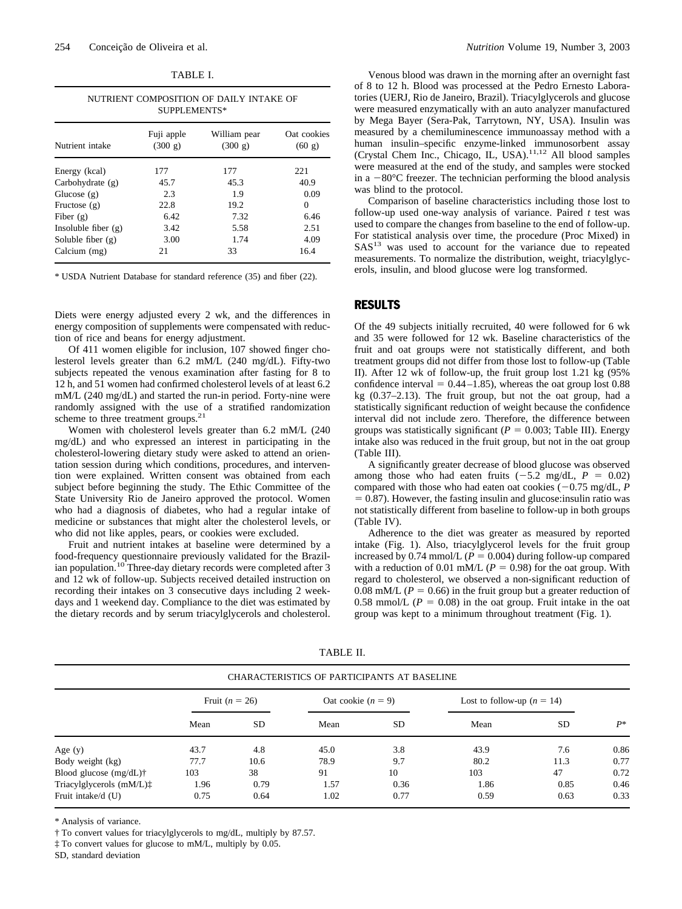| r<br>D<br>u. |  |
|--------------|--|
|--------------|--|

<span id="page-1-0"></span>

| NUTRIENT COMPOSITION OF DAILY INTAKE OF |  |  |  |  |  |
|-----------------------------------------|--|--|--|--|--|
| SUPPLEMENTS*                            |  |  |  |  |  |

| Nutrient intake       | Fuji apple<br>(300 g) | William pear<br>(300 g) | Oat cookies<br>(60 g) |
|-----------------------|-----------------------|-------------------------|-----------------------|
| Energy (kcal)         | 177                   | 177                     | 221                   |
| Carbohydrate $(g)$    | 45.7                  | 45.3                    | 40.9                  |
| Glucose $(g)$         | 2.3                   | 1.9                     | 0.09                  |
| Fructose $(g)$        | 22.8                  | 19.2                    | $\theta$              |
| Fiber $(g)$           | 6.42                  | 7.32                    | 6.46                  |
| Insoluble fiber $(g)$ | 3.42                  | 5.58                    | 2.51                  |
| Soluble fiber $(g)$   | 3.00                  | 1.74                    | 4.09                  |
| Calcium (mg)          | 21                    | 33                      | 16.4                  |

\* USDA Nutrient Database for standard reference (35) and fiber (22).

Diets were energy adjusted every 2 wk, and the differences in energy composition of supplements were compensated with reduction of rice and beans for energy adjustment.

Of 411 women eligible for inclusion, 107 showed finger cholesterol levels greater than 6.2 mM/L (240 mg/dL). Fifty-two subjects repeated the venous examination after fasting for 8 to 12 h, and 51 women had confirmed cholesterol levels of at least 6.2 mM/L (240 mg/dL) and started the run-in period. Forty-nine were randomly assigned with the use of a stratified randomization scheme to three treatment groups.<sup>21</sup>

Women with cholesterol levels greater than 6.2 mM/L (240 mg/dL) and who expressed an interest in participating in the cholesterol-lowering dietary study were asked to attend an orientation session during which conditions, procedures, and intervention were explained. Written consent was obtained from each subject before beginning the study. The Ethic Committee of the State University Rio de Janeiro approved the protocol. Women who had a diagnosis of diabetes, who had a regular intake of medicine or substances that might alter the cholesterol levels, or who did not like apples, pears, or cookies were excluded.

Fruit and nutrient intakes at baseline were determined by a food-frequency questionnaire previously validated for the Brazil-ian population.<sup>[10](#page-3-0)</sup> Three-day dietary records were completed after 3 and 12 wk of follow-up. Subjects received detailed instruction on recording their intakes on 3 consecutive days including 2 weekdays and 1 weekend day. Compliance to the diet was estimated by the dietary records and by serum triacylglycerols and cholesterol.

Venous blood was drawn in the morning after an overnight fast of 8 to 12 h. Blood was processed at the Pedro Ernesto Laboratories (UERJ, Rio de Janeiro, Brazil). Triacylglycerols and glucose were measured enzymatically with an auto analyzer manufactured by Mega Bayer (Sera-Pak, Tarrytown, NY, USA). Insulin was measured by a chemiluminescence immunoassay method with a human insulin–specific enzyme-linked immunosorbent assay (Crystal Chem Inc., Chicago, IL, USA)[.11,12](#page-3-0) All blood samples were measured at the end of the study, and samples were stocked in a  $-80^{\circ}$ C freezer. The technician performing the blood analysis was blind to the protocol.

Comparison of baseline characteristics including those lost to follow-up used one-way analysis of variance. Paired *t* test was used to compare the changes from baseline to the end of follow-up. For statistical analysis over time, the procedure (Proc Mixed) in  $SAS<sup>13</sup>$  was used to account for the variance due to repeated measurements. To normalize the distribution, weight, triacylglycerols, insulin, and blood glucose were log transformed.

#### RESULTS

Of the 49 subjects initially recruited, 40 were followed for 6 wk and 35 were followed for 12 wk. Baseline characteristics of the fruit and oat groups were not statistically different, and both treatment groups did not differ from those lost to follow-up (Table II). After 12 wk of follow-up, the fruit group lost 1.21 kg (95% confidence interval  $= 0.44 - 1.85$ , whereas the oat group lost  $0.88$ kg (0.37–2.13). The fruit group, but not the oat group, had a statistically significant reduction of weight because the confidence interval did not include zero. Therefore, the difference between groups was statistically significant  $(P = 0.003;$  [Table III\)](#page-2-0). Energy intake also was reduced in the fruit group, but not in the oat group ([Table III](#page-2-0)).

A significantly greater decrease of blood glucose was observed among those who had eaten fruits  $(-5.2 \text{ mg/dL}, P = 0.02)$ compared with those who had eaten oat cookies  $(-0.75 \text{ mg/dL}, P)$ - 0.87). However, the fasting insulin and glucose:insulin ratio was not statistically different from baseline to follow-up in both groups ([Table IV\)](#page-2-0).

Adherence to the diet was greater as measured by reported intake [\(Fig. 1](#page-2-0)). Also, triacylglycerol levels for the fruit group increased by  $0.74$  mmol/L ( $P = 0.004$ ) during follow-up compared with a reduction of 0.01 mM/L ( $P = 0.98$ ) for the oat group. With regard to cholesterol, we observed a non-significant reduction of 0.08 mM/L ( $P = 0.66$ ) in the fruit group but a greater reduction of 0.58 mmol/L  $(P = 0.08)$  in the oat group. Fruit intake in the oat group was kept to a minimum throughout treatment ([Fig. 1](#page-2-0)).

|                                      |                  |           | CHARACTERISTICS OF PARTICIPANTS AT BASELINE |           |                              |      |       |
|--------------------------------------|------------------|-----------|---------------------------------------------|-----------|------------------------------|------|-------|
|                                      | Fruit $(n = 26)$ |           | Oat cookie $(n = 9)$                        |           | Lost to follow-up $(n = 14)$ |      |       |
|                                      | Mean             | <b>SD</b> | Mean                                        | <b>SD</b> | Mean                         | SD.  | $P^*$ |
| Age $(y)$                            | 43.7             | 4.8       | 45.0                                        | 3.8       | 43.9                         | 7.6  | 0.86  |
| Body weight (kg)                     | 77.7             | 10.6      | 78.9                                        | 9.7       | 80.2                         | 11.3 | 0.77  |
| Blood glucose $(mg/dL)\dagger$       | 103              | 38        | 91                                          | 10        | 103                          | 47   | 0.72  |
| Triacylglycerols (mM/L) <sup>†</sup> | 1.96             | 0.79      | 1.57                                        | 0.36      | 1.86                         | 0.85 | 0.46  |
| Fruit intake/d (U)                   | 0.75             | 0.64      | 1.02                                        | 0.77      | 0.59                         | 0.63 | 0.33  |

TABLE II.

\* Analysis of variance.

† To convert values for triacylglycerols to mg/dL, multiply by 87.57.

‡ To convert values for glucose to mM/L, multiply by 0.05.

SD, standard deviation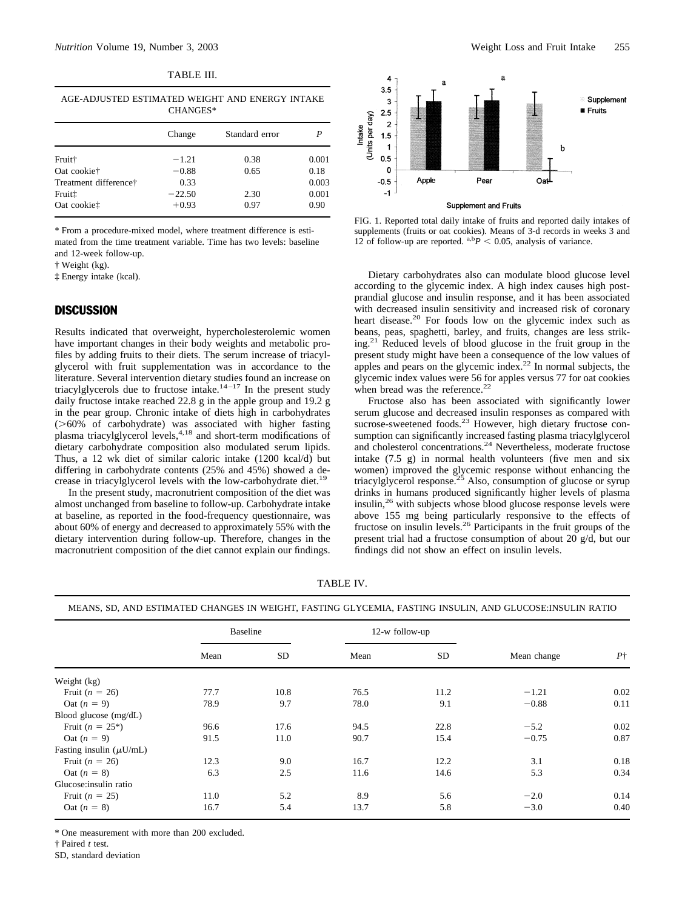<span id="page-2-0"></span>

| AGE-ADJUSTED ESTIMATED WEIGHT AND ENERGY INTAKE<br>CHANGES* |          |                |       |  |  |  |
|-------------------------------------------------------------|----------|----------------|-------|--|--|--|
|                                                             | Change   | Standard error |       |  |  |  |
| Fruit†                                                      | $-1.21$  | 0.38           | 0.001 |  |  |  |
| Oat cookie†                                                 | $-0.88$  | 0.65           | 0.18  |  |  |  |
| Treatment difference†                                       | 0.33     |                | 0.003 |  |  |  |
| Fruit‡                                                      | $-22.50$ | 2.30           | 0.001 |  |  |  |
| Oat cookiet                                                 | $+0.93$  | 0.97           | 0.90  |  |  |  |

\* From a procedure-mixed model, where treatment difference is estimated from the time treatment variable. Time has two levels: baseline and 12-week follow-up.

† Weight (kg).

‡ Energy intake (kcal).

## **DISCUSSION**

Results indicated that overweight, hypercholesterolemic women have important changes in their body weights and metabolic profiles by adding fruits to their diets. The serum increase of triacylglycerol with fruit supplementation was in accordance to the literature. Several intervention dietary studies found an increase on triacylglycerols due to fructose intake.<sup>14–17</sup> In the present study daily fructose intake reached 22.8 g in the apple group and 19.2 g in the pear group. Chronic intake of diets high in carbohydrates  $($ >60% of carbohydrate) was associated with higher fasting plasma triacylglycerol levels,<sup>4,18</sup> and short-term modifications of dietary carbohydrate composition also modulated serum lipids. Thus, a 12 wk diet of similar caloric intake (1200 kcal/d) but differing in carbohydrate contents (25% and 45%) showed a de-crease in triacylglycerol levels with the low-carbohydrate diet.<sup>[19](#page-3-0)</sup>

In the present study, macronutrient composition of the diet was almost unchanged from baseline to follow-up. Carbohydrate intake at baseline, as reported in the food-frequency questionnaire, was about 60% of energy and decreased to approximately 55% with the dietary intervention during follow-up. Therefore, changes in the macronutrient composition of the diet cannot explain our findings.



FIG. 1. Reported total daily intake of fruits and reported daily intakes of supplements (fruits or oat cookies). Means of 3-d records in weeks 3 and 12 of follow-up are reported.  $a,bP < 0.05$ , analysis of variance.

Dietary carbohydrates also can modulate blood glucose level according to the glycemic index. A high index causes high postprandial glucose and insulin response, and it has been associated with decreased insulin sensitivity and increased risk of coronary heart disease.<sup>20</sup> For foods low on the glycemic index such as beans, peas, spaghetti, barley, and fruits, changes are less striking[.21](#page-3-0) Reduced levels of blood glucose in the fruit group in the present study might have been a consequence of the low values of apples and pears on the glycemic index.<sup>22</sup> In normal subjects, the glycemic index values were 56 for apples versus 77 for oat cookies when bread was the reference. $^{22}$  $^{22}$  $^{22}$ 

Fructose also has been associated with significantly lower serum glucose and decreased insulin responses as compared with sucrose-sweetened foods.<sup>23</sup> However, high dietary fructose consumption can significantly increased fasting plasma triacylglycerol and cholesterol concentrations.<sup>[24](#page-3-0)</sup> Nevertheless, moderate fructose intake (7.5 g) in normal health volunteers (five men and six women) improved the glycemic response without enhancing the triacylglycerol response.<sup>[25](#page-3-0)</sup> Also, consumption of glucose or syrup drinks in humans produced significantly higher levels of plasma insulin,<sup>26</sup> with subjects whose blood glucose response levels were above 155 mg being particularly responsive to the effects of fructose on insulin levels.[26](#page-3-0) Participants in the fruit groups of the present trial had a fructose consumption of about 20 g/d, but our findings did not show an effect on insulin levels.

TABLE IV.

|  |  |  |  |  | MEANS, SD. AND ESTIMATED CHANGES IN WEIGHT, FASTING GLYCEMIA, FASTING INSULIN, AND GLUCOSE:INSULIN RATIO |
|--|--|--|--|--|----------------------------------------------------------------------------------------------------------|
|--|--|--|--|--|----------------------------------------------------------------------------------------------------------|

|                              | <b>Baseline</b> |      | 12-w follow-up |      |             |            |
|------------------------------|-----------------|------|----------------|------|-------------|------------|
|                              | Mean            | SD   | Mean           | SD   | Mean change | $P\dagger$ |
| Weight (kg)                  |                 |      |                |      |             |            |
| Fruit ( $n = 26$ )           | 77.7            | 10.8 | 76.5           | 11.2 | $-1.21$     | 0.02       |
| Oat $(n = 9)$                | 78.9            | 9.7  | 78.0           | 9.1  | $-0.88$     | 0.11       |
| Blood glucose (mg/dL)        |                 |      |                |      |             |            |
| Fruit $(n = 25^*)$           | 96.6            | 17.6 | 94.5           | 22.8 | $-5.2$      | 0.02       |
| Oat $(n = 9)$                | 91.5            | 11.0 | 90.7           | 15.4 | $-0.75$     | 0.87       |
| Fasting insulin $(\mu U/mL)$ |                 |      |                |      |             |            |
| Fruit ( $n = 26$ )           | 12.3            | 9.0  | 16.7           | 12.2 | 3.1         | 0.18       |
| Oat $(n = 8)$                | 6.3             | 2.5  | 11.6           | 14.6 | 5.3         | 0.34       |
| Glucose:insulin ratio        |                 |      |                |      |             |            |
| Fruit $(n = 25)$             | 11.0            | 5.2  | 8.9            | 5.6  | $-2.0$      | 0.14       |
| Oat $(n = 8)$                | 16.7            | 5.4  | 13.7           | 5.8  | $-3.0$      | 0.40       |

\* One measurement with more than 200 excluded.

† Paired *t* test.

SD, standard deviation